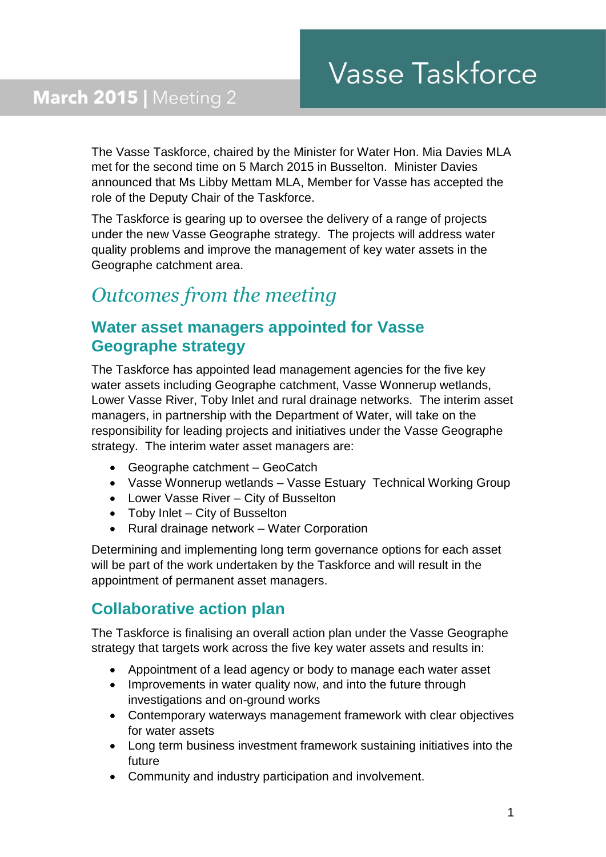The Vasse Taskforce, chaired by the Minister for Water Hon. Mia Davies MLA met for the second time on 5 March 2015 in Busselton. Minister Davies announced that Ms Libby Mettam MLA, Member for Vasse has accepted the role of the Deputy Chair of the Taskforce.

The Taskforce is gearing up to oversee the delivery of a range of projects under the new Vasse Geographe strategy. The projects will address water quality problems and improve the management of key water assets in the Geographe catchment area.

# *Outcomes from the meeting*

## **Water asset managers appointed for Vasse Geographe strategy**

The Taskforce has appointed lead management agencies for the five key water assets including Geographe catchment, Vasse Wonnerup wetlands, Lower Vasse River, Toby Inlet and rural drainage networks. The interim asset managers, in partnership with the Department of Water, will take on the responsibility for leading projects and initiatives under the Vasse Geographe strategy. The interim water asset managers are:

- Geographe catchment GeoCatch
- Vasse Wonnerup wetlands Vasse Estuary Technical Working Group
- Lower Vasse River City of Busselton
- Toby Inlet City of Busselton
- Rural drainage network Water Corporation

Determining and implementing long term governance options for each asset will be part of the work undertaken by the Taskforce and will result in the appointment of permanent asset managers.

## **Collaborative action plan**

The Taskforce is finalising an overall action plan under the Vasse Geographe strategy that targets work across the five key water assets and results in:

- Appointment of a lead agency or body to manage each water asset
- Improvements in water quality now, and into the future through investigations and on-ground works
- Contemporary waterways management framework with clear objectives for water assets
- Long term business investment framework sustaining initiatives into the future
- Community and industry participation and involvement.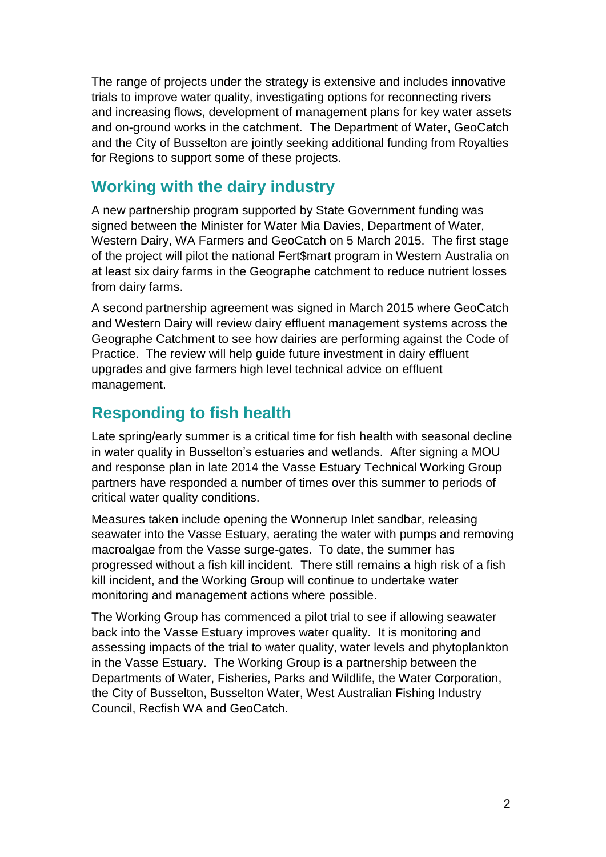The range of projects under the strategy is extensive and includes innovative trials to improve water quality, investigating options for reconnecting rivers and increasing flows, development of management plans for key water assets and on-ground works in the catchment. The Department of Water, GeoCatch and the City of Busselton are jointly seeking additional funding from Royalties for Regions to support some of these projects.

#### **Working with the dairy industry**

A new partnership program supported by State Government funding was signed between the Minister for Water Mia Davies, Department of Water, Western Dairy, WA Farmers and GeoCatch on 5 March 2015. The first stage of the project will pilot the national Fert\$mart program in Western Australia on at least six dairy farms in the Geographe catchment to reduce nutrient losses from dairy farms.

A second partnership agreement was signed in March 2015 where GeoCatch and Western Dairy will review dairy effluent management systems across the Geographe Catchment to see how dairies are performing against the Code of Practice. The review will help guide future investment in dairy effluent upgrades and give farmers high level technical advice on effluent management.

## **Responding to fish health**

Late spring/early summer is a critical time for fish health with seasonal decline in water quality in Busselton's estuaries and wetlands. After signing a MOU and response plan in late 2014 the Vasse Estuary Technical Working Group partners have responded a number of times over this summer to periods of critical water quality conditions.

Measures taken include opening the Wonnerup Inlet sandbar, releasing seawater into the Vasse Estuary, aerating the water with pumps and removing macroalgae from the Vasse surge-gates. To date, the summer has progressed without a fish kill incident. There still remains a high risk of a fish kill incident, and the Working Group will continue to undertake water monitoring and management actions where possible.

The Working Group has commenced a pilot trial to see if allowing seawater back into the Vasse Estuary improves water quality. It is monitoring and assessing impacts of the trial to water quality, water levels and phytoplankton in the Vasse Estuary. The Working Group is a partnership between the Departments of Water, Fisheries, Parks and Wildlife, the Water Corporation, the City of Busselton, Busselton Water, West Australian Fishing Industry Council, Recfish WA and GeoCatch.